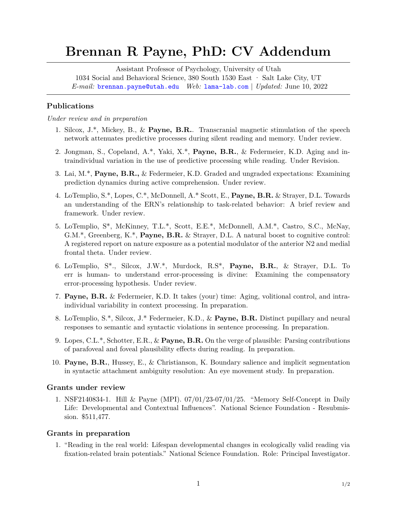# **Brennan R Payne, PhD: CV Addendum**

Assistant Professor of Psychology, University of Utah 1034 Social and Behavioral Science, 380 South 1530 East · Salt Lake City, UT *E-mail:* [brennan.payne@utah.edu](mailto:) *Web:* [lama-lab.com](http://lama-lab.com) | *Updated:* June 10, 2022

## **Publications**

*Under review and in preparation*

- 1. Silcox, J.\*, Mickey, B., & **Payne, B.R.**. Transcranial magnetic stimulation of the speech network attenuates predictive processes during silent reading and memory. Under review.
- 2. Jongman, S., Copeland, A.\*, Yaki, X.\*, **Payne, B.R.**, & Federmeier, K.D. Aging and intraindividual variation in the use of predictive processing while reading. Under Revision.
- 3. Lai, M.\*, **Payne, B.R.,** & Federmeier, K.D. Graded and ungraded expectations: Examining prediction dynamics during active comprehension. Under review.
- 4. LoTemplio, S.\*, Lopes, C.\*, McDonnell, A.\* Scott, E., **Payne, B.R.** & Strayer, D.L. Towards an understanding of the ERN's relationship to task-related behavior: A brief review and framework. Under review.
- 5. LoTemplio, S\*, McKinney, T.L.\*, Scott, E.E.\*, McDonnell, A.M.\*, Castro, S.C., McNay, G.M.\*, Greenberg, K.\*, **Payne, B.R.** & Strayer, D.L. A natural boost to cognitive control: A registered report on nature exposure as a potential modulator of the anterior N2 and medial frontal theta. Under review.
- 6. LoTemplio, S\*., Silcox, J.W.\*, Murdock, R.S\*, **Payne, B.R.**, & Strayer, D.L. To err is human- to understand error-processing is divine: Examining the compensatory error-processing hypothesis. Under review.
- 7. **Payne, B.R.** & Federmeier, K.D. It takes (your) time: Aging, volitional control, and intraindividual variability in context processing. In preparation.
- 8. LoTemplio, S.\*, Silcox, J.\* Federmeier, K.D., & **Payne, B.R.** Distinct pupillary and neural responses to semantic and syntactic violations in sentence processing. In preparation.
- 9. Lopes, C.L.\*, Schotter, E.R., & **Payne, B.R.** On the verge of plausible: Parsing contributions of parafoveal and foveal plausibility effects during reading. In preparation.
- 10. **Payne, B.R.**, Hussey, E., & Christianson, K. Boundary salience and implicit segmentation in syntactic attachment ambiguity resolution: An eye movement study. In preparation.

#### **Grants under review**

1. NSF2140834-1. Hill & Payne (MPI). 07/01/23-07/01/25. "Memory Self-Concept in Daily Life: Developmental and Contextual Influences". National Science Foundation - Resubmission. \$511,477.

### **Grants in preparation**

1. "Reading in the real world: Lifespan developmental changes in ecologically valid reading via fixation-related brain potentials." National Science Foundation. Role: Principal Investigator.